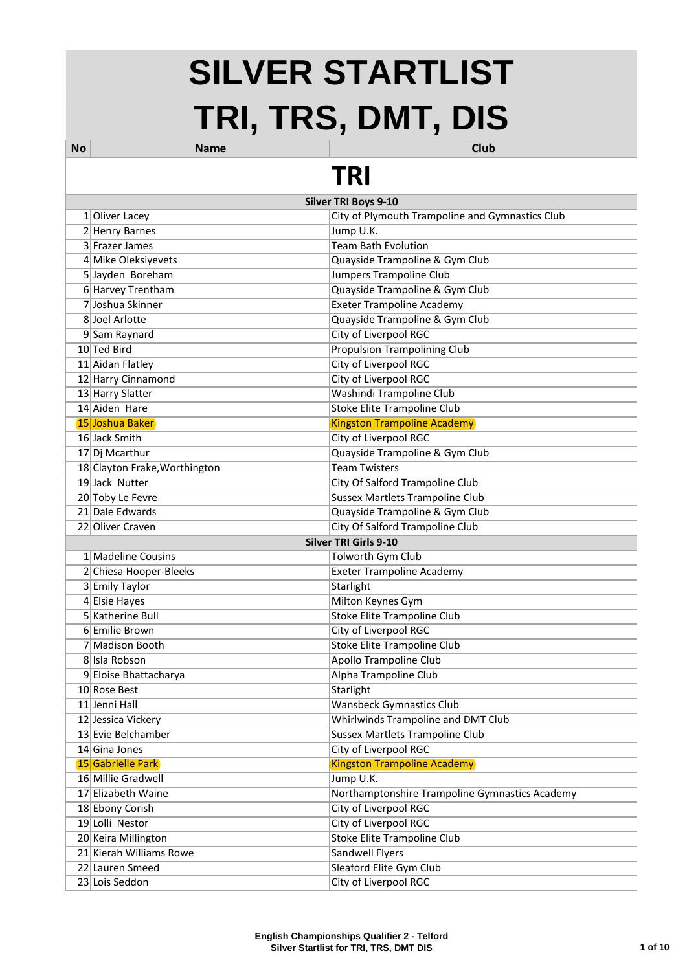## **SILVER STARTLIST TRI, TRS, DMT, DIS**

| <b>No</b> | <b>Name</b>                   | <b>Club</b>                                     |  |
|-----------|-------------------------------|-------------------------------------------------|--|
| TRI       |                               |                                                 |  |
|           |                               | <b>Silver TRI Boys 9-10</b>                     |  |
|           | 1 Oliver Lacey                | City of Plymouth Trampoline and Gymnastics Club |  |
|           | 2 Henry Barnes                | Jump U.K.                                       |  |
|           | 3 Frazer James                | <b>Team Bath Evolution</b>                      |  |
|           | 4 Mike Oleksiyevets           | Quayside Trampoline & Gym Club                  |  |
|           | 5 Jayden Boreham              | Jumpers Trampoline Club                         |  |
|           | 6 Harvey Trentham             | Quayside Trampoline & Gym Club                  |  |
|           | 7 Joshua Skinner              | <b>Exeter Trampoline Academy</b>                |  |
|           | 8 Joel Arlotte                | Quayside Trampoline & Gym Club                  |  |
|           | 9 Sam Raynard                 | City of Liverpool RGC                           |  |
|           | 10 Ted Bird                   | <b>Propulsion Trampolining Club</b>             |  |
|           | 11 Aidan Flatley              | City of Liverpool RGC                           |  |
|           | 12 Harry Cinnamond            | City of Liverpool RGC                           |  |
|           | 13 Harry Slatter              | Washindi Trampoline Club                        |  |
|           | 14 Aiden Hare                 | <b>Stoke Elite Trampoline Club</b>              |  |
|           | 15 Joshua Baker               | <b>Kingston Trampoline Academy</b>              |  |
|           | 16 Jack Smith                 | City of Liverpool RGC                           |  |
|           | 17 Dj Mcarthur                | Quayside Trampoline & Gym Club                  |  |
|           | 18 Clayton Frake, Worthington | <b>Team Twisters</b>                            |  |
|           | 19 Jack Nutter                | City Of Salford Trampoline Club                 |  |
|           | 20 Toby Le Fevre              | <b>Sussex Martlets Trampoline Club</b>          |  |
|           | 21 Dale Edwards               | Quayside Trampoline & Gym Club                  |  |
|           | 22 Oliver Craven              | City Of Salford Trampoline Club                 |  |
|           |                               | <b>Silver TRI Girls 9-10</b>                    |  |
|           | 1 Madeline Cousins            | Tolworth Gym Club                               |  |
|           | 2 Chiesa Hooper-Bleeks        | <b>Exeter Trampoline Academy</b>                |  |
|           | 3 Emily Taylor                | Starlight                                       |  |
|           | 4 Elsie Hayes                 | Milton Keynes Gym                               |  |
|           | 5 Katherine Bull              | Stoke Elite Trampoline Club                     |  |
|           | 6 Emilie Brown                | City of Liverpool RGC                           |  |
|           | 7 Madison Booth               | <b>Stoke Elite Trampoline Club</b>              |  |
|           | 8 Isla Robson                 | <b>Apollo Trampoline Club</b>                   |  |
|           | 9 Eloise Bhattacharya         | Alpha Trampoline Club                           |  |
|           | 10 Rose Best                  | Starlight                                       |  |
|           | 11 Jenni Hall                 | <b>Wansbeck Gymnastics Club</b>                 |  |
|           | 12 Jessica Vickery            | Whirlwinds Trampoline and DMT Club              |  |
|           | 13 Evie Belchamber            | <b>Sussex Martlets Trampoline Club</b>          |  |
|           | 14 Gina Jones                 | City of Liverpool RGC                           |  |
|           | 15 Gabrielle Park             | <b>Kingston Trampoline Academy</b>              |  |
|           | 16 Millie Gradwell            | Jump U.K.                                       |  |
|           | 17 Elizabeth Waine            | Northamptonshire Trampoline Gymnastics Academy  |  |
|           | 18 Ebony Corish               | City of Liverpool RGC                           |  |
|           | 19 Lolli Nestor               | City of Liverpool RGC                           |  |
|           | 20 Keira Millington           | <b>Stoke Elite Trampoline Club</b>              |  |
|           | 21 Kierah Williams Rowe       | Sandwell Flyers                                 |  |
|           | 22 Lauren Smeed               | Sleaford Elite Gym Club                         |  |
|           | 23 Lois Seddon                | City of Liverpool RGC                           |  |
|           |                               |                                                 |  |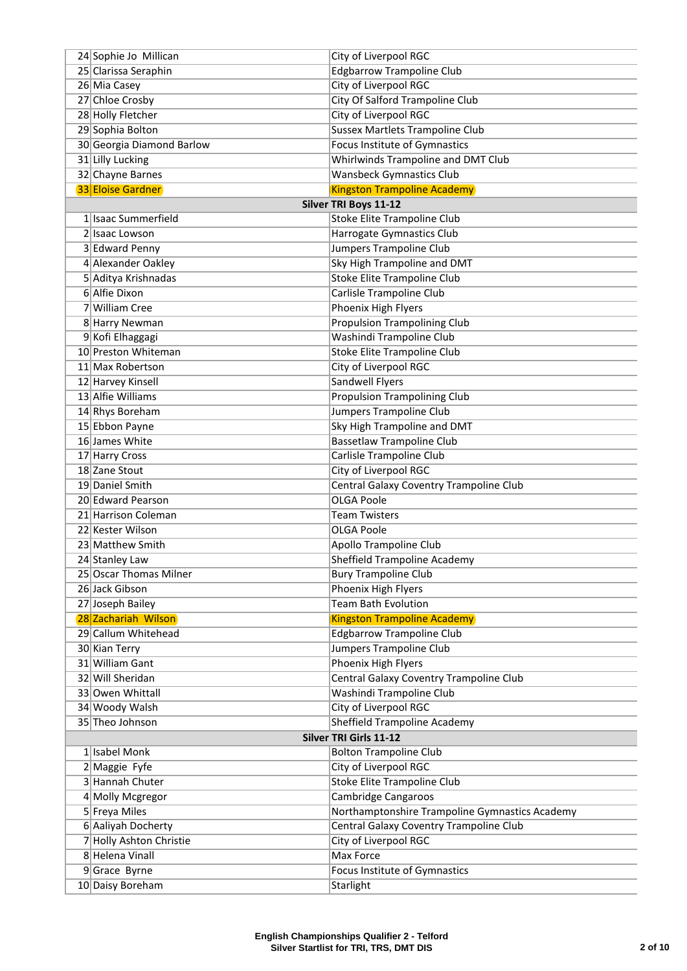| 24 Sophie Jo Millican                    | City of Liverpool RGC                                       |
|------------------------------------------|-------------------------------------------------------------|
| 25 Clarissa Seraphin                     | <b>Edgbarrow Trampoline Club</b>                            |
| 26 Mia Casey                             | City of Liverpool RGC                                       |
| 27 Chloe Crosby                          | City Of Salford Trampoline Club                             |
| 28 Holly Fletcher                        | City of Liverpool RGC                                       |
| 29 Sophia Bolton                         | <b>Sussex Martlets Trampoline Club</b>                      |
| 30 Georgia Diamond Barlow                | Focus Institute of Gymnastics                               |
| 31 Lilly Lucking                         | Whirlwinds Trampoline and DMT Club                          |
| 32 Chayne Barnes                         | <b>Wansbeck Gymnastics Club</b>                             |
| <b>33 Eloise Gardner</b>                 | <b>Kingston Trampoline Academy</b>                          |
|                                          | Silver TRI Boys 11-12                                       |
| 1 Isaac Summerfield                      | Stoke Elite Trampoline Club                                 |
| 2 Isaac Lowson                           | Harrogate Gymnastics Club                                   |
| 3 Edward Penny                           | Jumpers Trampoline Club                                     |
| 4 Alexander Oakley                       | Sky High Trampoline and DMT                                 |
| 5 Aditya Krishnadas                      | Stoke Elite Trampoline Club                                 |
| 6 Alfie Dixon                            | Carlisle Trampoline Club                                    |
| 7 William Cree                           | Phoenix High Flyers                                         |
| 8 Harry Newman                           | <b>Propulsion Trampolining Club</b>                         |
| 9 Kofi Elhaggagi                         | Washindi Trampoline Club                                    |
| 10 Preston Whiteman                      | <b>Stoke Elite Trampoline Club</b>                          |
| 11 Max Robertson                         | City of Liverpool RGC                                       |
| 12 Harvey Kinsell                        | Sandwell Flyers                                             |
| 13 Alfie Williams                        | <b>Propulsion Trampolining Club</b>                         |
| 14 Rhys Boreham                          | Jumpers Trampoline Club                                     |
| 15 Ebbon Payne                           | Sky High Trampoline and DMT                                 |
| 16 James White                           | <b>Bassetlaw Trampoline Club</b>                            |
| 17 Harry Cross                           | Carlisle Trampoline Club                                    |
| 18 Zane Stout                            | City of Liverpool RGC                                       |
| 19 Daniel Smith                          | Central Galaxy Coventry Trampoline Club                     |
| 20 Edward Pearson                        | <b>OLGA Poole</b>                                           |
| 21 Harrison Coleman                      | <b>Team Twisters</b>                                        |
| 22 Kester Wilson                         | <b>OLGA Poole</b>                                           |
| 23 Matthew Smith                         | Apollo Trampoline Club                                      |
| 24 Stanley Law<br>25 Oscar Thomas Milner | Sheffield Trampoline Academy<br><b>Bury Trampoline Club</b> |
| 26 Jack Gibson                           | Phoenix High Flyers                                         |
| 27 Joseph Bailey                         | <b>Team Bath Evolution</b>                                  |
| 28 Zachariah Wilson                      | <b>Kingston Trampoline Academy</b>                          |
| 29 Callum Whitehead                      | <b>Edgbarrow Trampoline Club</b>                            |
| 30 Kian Terry                            | Jumpers Trampoline Club                                     |
| 31 William Gant                          | Phoenix High Flyers                                         |
| 32 Will Sheridan                         | Central Galaxy Coventry Trampoline Club                     |
| 33 Owen Whittall                         | Washindi Trampoline Club                                    |
| 34 Woody Walsh                           | City of Liverpool RGC                                       |
| 35 Theo Johnson                          | Sheffield Trampoline Academy                                |
|                                          | <b>Silver TRI Girls 11-12</b>                               |
| 1 Isabel Monk                            | <b>Bolton Trampoline Club</b>                               |
| 2 Maggie Fyfe                            | City of Liverpool RGC                                       |
| 3 Hannah Chuter                          | <b>Stoke Elite Trampoline Club</b>                          |
| 4 Molly Mcgregor                         | <b>Cambridge Cangaroos</b>                                  |
| 5 Freya Miles                            | Northamptonshire Trampoline Gymnastics Academy              |
| 6 Aaliyah Docherty                       | Central Galaxy Coventry Trampoline Club                     |
| 7 Holly Ashton Christie                  | City of Liverpool RGC                                       |
| 8 Helena Vinall                          | Max Force                                                   |
| $9$ Grace Byrne                          | Focus Institute of Gymnastics                               |
| 10 Daisy Boreham                         | Starlight                                                   |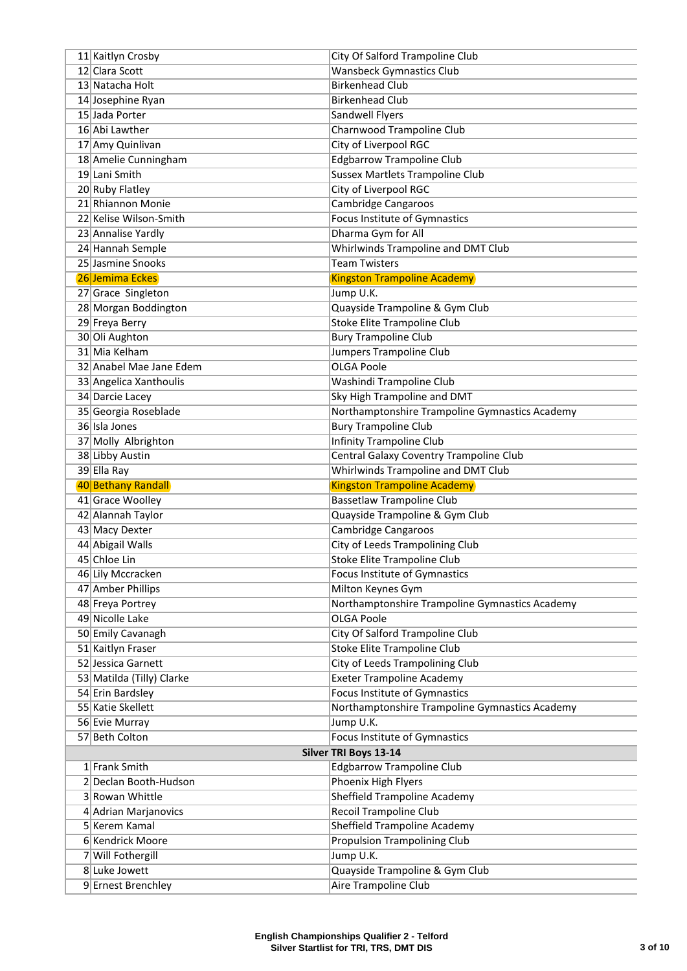| 11 Kaitlyn Crosby                      | City Of Salford Trampoline Club                |
|----------------------------------------|------------------------------------------------|
| 12 Clara Scott                         | <b>Wansbeck Gymnastics Club</b>                |
| 13 Natacha Holt                        | <b>Birkenhead Club</b>                         |
| 14 Josephine Ryan                      | <b>Birkenhead Club</b>                         |
| 15 Jada Porter                         | Sandwell Flyers                                |
| 16 Abi Lawther                         | Charnwood Trampoline Club                      |
| 17 Amy Quinlivan                       | City of Liverpool RGC                          |
| 18 Amelie Cunningham                   | <b>Edgbarrow Trampoline Club</b>               |
| 19 Lani Smith                          | <b>Sussex Martlets Trampoline Club</b>         |
| 20 Ruby Flatley                        | City of Liverpool RGC                          |
| 21 Rhiannon Monie                      | Cambridge Cangaroos                            |
| 22 Kelise Wilson-Smith                 | <b>Focus Institute of Gymnastics</b>           |
| 23 Annalise Yardly                     | Dharma Gym for All                             |
| 24 Hannah Semple                       | Whirlwinds Trampoline and DMT Club             |
| 25 Jasmine Snooks                      | <b>Team Twisters</b>                           |
| 26 Jemima Eckes                        | <b>Kingston Trampoline Academy</b>             |
| 27 Grace Singleton                     | Jump U.K.                                      |
| 28 Morgan Boddington                   | Quayside Trampoline & Gym Club                 |
| 29 Freya Berry                         | <b>Stoke Elite Trampoline Club</b>             |
| 30 Oli Aughton                         | <b>Bury Trampoline Club</b>                    |
| 31 Mia Kelham                          | Jumpers Trampoline Club                        |
| 32 Anabel Mae Jane Edem                | <b>OLGA Poole</b>                              |
| 33 Angelica Xanthoulis                 | Washindi Trampoline Club                       |
| 34 Darcie Lacey                        | Sky High Trampoline and DMT                    |
| 35 Georgia Roseblade                   | Northamptonshire Trampoline Gymnastics Academy |
| 36 Isla Jones                          | <b>Bury Trampoline Club</b>                    |
| 37 Molly Albrighton                    | <b>Infinity Trampoline Club</b>                |
| 38 Libby Austin                        | Central Galaxy Coventry Trampoline Club        |
|                                        | <b>Whirlwinds Trampoline and DMT Club</b>      |
| 39 Ella Ray                            |                                                |
| 40 Bethany Randall                     | <b>Kingston Trampoline Academy</b>             |
| 41 Grace Woolley                       | <b>Bassetlaw Trampoline Club</b>               |
| 42 Alannah Taylor                      | Quayside Trampoline & Gym Club                 |
| 43 Macy Dexter                         | Cambridge Cangaroos                            |
| 44 Abigail Walls                       | City of Leeds Trampolining Club                |
| 45 Chloe Lin                           | Stoke Elite Trampoline Club                    |
| 46 Lily Mccracken                      | Focus Institute of Gymnastics                  |
| 47 Amber Phillips                      | Milton Keynes Gym                              |
| 48 Freya Portrey                       | Northamptonshire Trampoline Gymnastics Academy |
| 49 Nicolle Lake                        | <b>OLGA Poole</b>                              |
| 50 Emily Cavanagh                      | City Of Salford Trampoline Club                |
| 51 Kaitlyn Fraser                      | <b>Stoke Elite Trampoline Club</b>             |
| 52 Jessica Garnett                     | City of Leeds Trampolining Club                |
| 53 Matilda (Tilly) Clarke              | <b>Exeter Trampoline Academy</b>               |
| 54 Erin Bardsley                       | Focus Institute of Gymnastics                  |
| 55 Katie Skellett                      | Northamptonshire Trampoline Gymnastics Academy |
| 56 Evie Murray                         | Jump U.K.                                      |
| 57 Beth Colton                         | Focus Institute of Gymnastics                  |
|                                        | Silver TRI Boys 13-14                          |
| 1 Frank Smith<br>2 Declan Booth-Hudson | <b>Edgbarrow Trampoline Club</b>               |
|                                        | Phoenix High Flyers                            |
| 3 Rowan Whittle                        | Sheffield Trampoline Academy                   |
| 4 Adrian Marjanovics<br>5 Kerem Kamal  | Recoil Trampoline Club                         |
| 6 Kendrick Moore                       | <b>Sheffield Trampoline Academy</b>            |
|                                        | <b>Propulsion Trampolining Club</b>            |
| 7 Will Fothergill<br>8 Luke Jowett     | Jump U.K.<br>Quayside Trampoline & Gym Club    |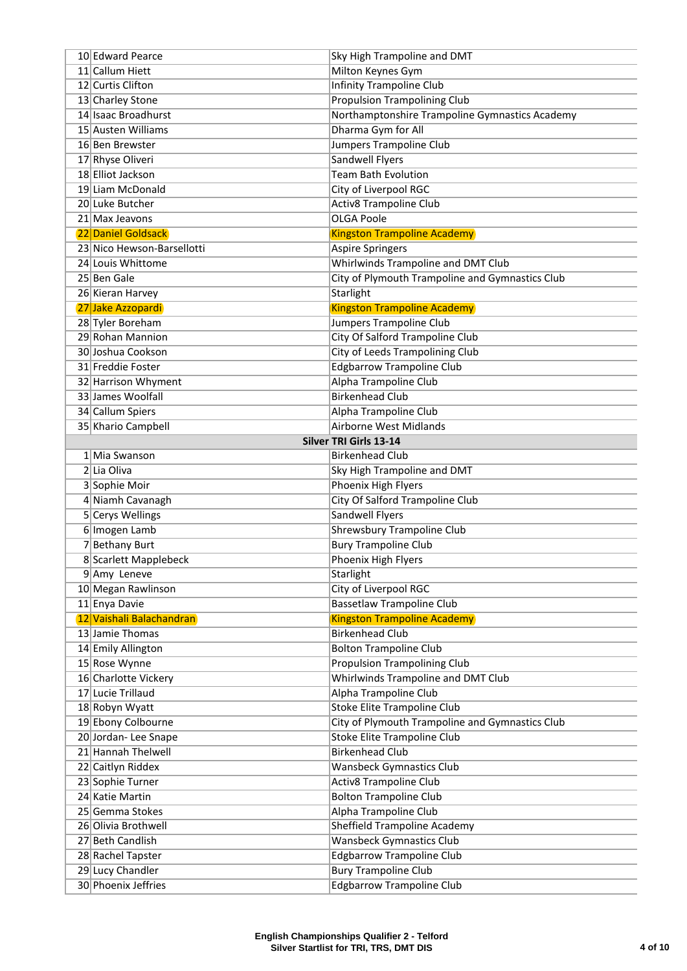| 10 Edward Pearce                        | Sky High Trampoline and DMT                                            |
|-----------------------------------------|------------------------------------------------------------------------|
| 11 Callum Hiett                         | Milton Keynes Gym                                                      |
| 12 Curtis Clifton                       | <b>Infinity Trampoline Club</b>                                        |
| 13 Charley Stone                        | <b>Propulsion Trampolining Club</b>                                    |
| 14 Isaac Broadhurst                     | Northamptonshire Trampoline Gymnastics Academy                         |
| 15 Austen Williams                      | Dharma Gym for All                                                     |
| 16 Ben Brewster                         | Jumpers Trampoline Club                                                |
| 17 Rhyse Oliveri                        | Sandwell Flyers                                                        |
| 18 Elliot Jackson                       | <b>Team Bath Evolution</b>                                             |
| 19 Liam McDonald                        | City of Liverpool RGC                                                  |
| 20 Luke Butcher                         | <b>Activ8 Trampoline Club</b>                                          |
| 21 Max Jeavons                          | <b>OLGA Poole</b>                                                      |
| 22 Daniel Goldsack                      | <b>Kingston Trampoline Academy</b>                                     |
| 23 Nico Hewson-Barsellotti              | <b>Aspire Springers</b>                                                |
| 24 Louis Whittome                       | Whirlwinds Trampoline and DMT Club                                     |
| 25 Ben Gale                             | City of Plymouth Trampoline and Gymnastics Club                        |
| 26 Kieran Harvey                        | Starlight                                                              |
| 27 Jake Azzopardi                       | <b>Kingston Trampoline Academy</b>                                     |
| 28 Tyler Boreham                        | Jumpers Trampoline Club                                                |
| 29 Rohan Mannion                        | City Of Salford Trampoline Club                                        |
| 30 Joshua Cookson                       | City of Leeds Trampolining Club                                        |
| 31 Freddie Foster                       | <b>Edgbarrow Trampoline Club</b>                                       |
| 32 Harrison Whyment                     | Alpha Trampoline Club                                                  |
| 33 James Woolfall                       | <b>Birkenhead Club</b>                                                 |
| 34 Callum Spiers                        | Alpha Trampoline Club                                                  |
| 35 Khario Campbell                      | <b>Airborne West Midlands</b>                                          |
|                                         | <b>Silver TRI Girls 13-14</b>                                          |
| 1 Mia Swanson                           | <b>Birkenhead Club</b>                                                 |
| 2 Lia Oliva                             | Sky High Trampoline and DMT                                            |
| 3 Sophie Moir                           | Phoenix High Flyers                                                    |
| 4 Niamh Cavanagh                        | <b>City Of Salford Trampoline Club</b>                                 |
| 5 Cerys Wellings                        | Sandwell Flyers                                                        |
| 6 Imogen Lamb                           | Shrewsbury Trampoline Club                                             |
| 7 Bethany Burt<br>8 Scarlett Mapplebeck | <b>Bury Trampoline Club</b>                                            |
|                                         | Phoenix High Flyers                                                    |
| 9 Amy Leneve<br>10 Megan Rawlinson      | Starlight<br>City of Liverpool RGC                                     |
| 11 Enya Davie                           |                                                                        |
| 12 Vaishali Balachandran                | <b>Bassetlaw Trampoline Club</b><br><b>Kingston Trampoline Academy</b> |
| 13 Jamie Thomas                         | <b>Birkenhead Club</b>                                                 |
| 14 Emily Allington                      | <b>Bolton Trampoline Club</b>                                          |
| 15 Rose Wynne                           | <b>Propulsion Trampolining Club</b>                                    |
| 16 Charlotte Vickery                    | Whirlwinds Trampoline and DMT Club                                     |
| 17 Lucie Trillaud                       | Alpha Trampoline Club                                                  |
| 18 Robyn Wyatt                          | <b>Stoke Elite Trampoline Club</b>                                     |
| 19 Ebony Colbourne                      | City of Plymouth Trampoline and Gymnastics Club                        |
| 20 Jordan-Lee Snape                     | Stoke Elite Trampoline Club                                            |
| 21 Hannah Thelwell                      | <b>Birkenhead Club</b>                                                 |
| 22 Caitlyn Riddex                       | <b>Wansbeck Gymnastics Club</b>                                        |
| 23 Sophie Turner                        | <b>Activ8 Trampoline Club</b>                                          |
| 24 Katie Martin                         | <b>Bolton Trampoline Club</b>                                          |
| 25 Gemma Stokes                         | Alpha Trampoline Club                                                  |
| 26 Olivia Brothwell                     | <b>Sheffield Trampoline Academy</b>                                    |
| 27 Beth Candlish                        | <b>Wansbeck Gymnastics Club</b>                                        |
| 28 Rachel Tapster                       | <b>Edgbarrow Trampoline Club</b>                                       |
| 29 Lucy Chandler                        | <b>Bury Trampoline Club</b>                                            |
| 30 Phoenix Jeffries                     | <b>Edgbarrow Trampoline Club</b>                                       |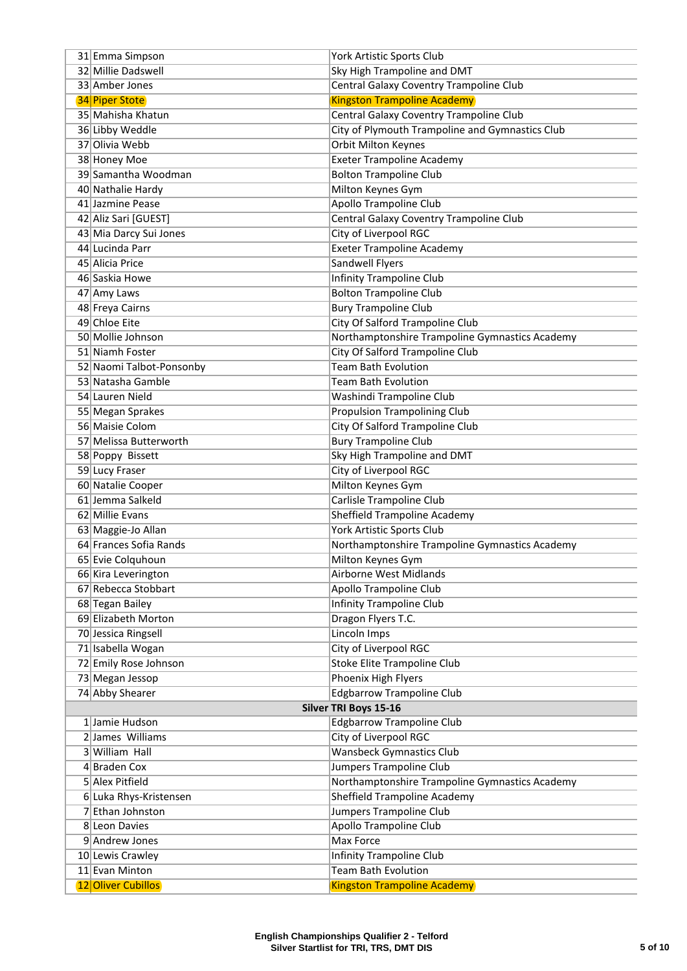| 31 Emma Simpson                            | York Artistic Sports Club                                   |
|--------------------------------------------|-------------------------------------------------------------|
| 32 Millie Dadswell                         | Sky High Trampoline and DMT                                 |
| 33 Amber Jones                             | Central Galaxy Coventry Trampoline Club                     |
| <b>34 Piper Stote</b>                      | <b>Kingston Trampoline Academy</b>                          |
| 35 Mahisha Khatun                          | Central Galaxy Coventry Trampoline Club                     |
| 36 Libby Weddle                            | City of Plymouth Trampoline and Gymnastics Club             |
| 37 Olivia Webb                             | Orbit Milton Keynes                                         |
| 38 Honey Moe                               | <b>Exeter Trampoline Academy</b>                            |
| 39 Samantha Woodman                        | <b>Bolton Trampoline Club</b>                               |
| 40 Nathalie Hardy                          | Milton Keynes Gym                                           |
| 41 Jazmine Pease                           | Apollo Trampoline Club                                      |
| 42 Aliz Sari [GUEST]                       | Central Galaxy Coventry Trampoline Club                     |
| 43 Mia Darcy Sui Jones                     | City of Liverpool RGC                                       |
| 44 Lucinda Parr                            | <b>Exeter Trampoline Academy</b>                            |
| 45 Alicia Price                            | Sandwell Flyers                                             |
| 46 Saskia Howe                             | <b>Infinity Trampoline Club</b>                             |
| 47 Amy Laws                                | <b>Bolton Trampoline Club</b>                               |
| 48 Freya Cairns                            | <b>Bury Trampoline Club</b>                                 |
| 49 Chloe Eite                              | City Of Salford Trampoline Club                             |
| 50 Mollie Johnson                          | Northamptonshire Trampoline Gymnastics Academy              |
| 51 Niamh Foster                            | <b>City Of Salford Trampoline Club</b>                      |
| 52 Naomi Talbot-Ponsonby                   | <b>Team Bath Evolution</b>                                  |
| 53 Natasha Gamble                          | <b>Team Bath Evolution</b>                                  |
| 54 Lauren Nield                            | Washindi Trampoline Club                                    |
| 55 Megan Sprakes                           | <b>Propulsion Trampolining Club</b>                         |
| 56 Maisie Colom                            | City Of Salford Trampoline Club                             |
| 57 Melissa Butterworth                     | <b>Bury Trampoline Club</b>                                 |
| 58 Poppy Bissett                           | Sky High Trampoline and DMT                                 |
| 59 Lucy Fraser                             | City of Liverpool RGC                                       |
| 60 Natalie Cooper                          | Milton Keynes Gym                                           |
| 61 Jemma Salkeld                           | Carlisle Trampoline Club                                    |
| 62 Millie Evans                            | Sheffield Trampoline Academy                                |
| 63 Maggie-Jo Allan                         | York Artistic Sports Club                                   |
| 64 Frances Sofia Rands                     | Northamptonshire Trampoline Gymnastics Academy              |
| 65 Evie Colquhoun                          | Milton Keynes Gym                                           |
| 66 Kira Leverington                        | Airborne West Midlands                                      |
| 67 Rebecca Stobbart                        | <b>Apollo Trampoline Club</b>                               |
| 68 Tegan Bailey                            | <b>Infinity Trampoline Club</b>                             |
| 69 Elizabeth Morton                        | Dragon Flyers T.C.                                          |
| 70 Jessica Ringsell                        | Lincoln Imps                                                |
| 71 Isabella Wogan<br>72 Emily Rose Johnson | City of Liverpool RGC<br><b>Stoke Elite Trampoline Club</b> |
| 73 Megan Jessop                            | Phoenix High Flyers                                         |
| 74 Abby Shearer                            | <b>Edgbarrow Trampoline Club</b>                            |
|                                            | Silver TRI Boys 15-16                                       |
| 1 Jamie Hudson                             | <b>Edgbarrow Trampoline Club</b>                            |
| 2 James Williams                           | City of Liverpool RGC                                       |
| 3 William Hall                             | <b>Wansbeck Gymnastics Club</b>                             |
| 4 Braden Cox                               | <b>Jumpers Trampoline Club</b>                              |
| 5 Alex Pitfield                            | Northamptonshire Trampoline Gymnastics Academy              |
| 6 Luka Rhys-Kristensen                     | <b>Sheffield Trampoline Academy</b>                         |
| 7 Ethan Johnston                           | Jumpers Trampoline Club                                     |
| 8 Leon Davies                              | <b>Apollo Trampoline Club</b>                               |
| 9 Andrew Jones                             | Max Force                                                   |
| 10 Lewis Crawley                           | <b>Infinity Trampoline Club</b>                             |
| 11 Evan Minton                             | <b>Team Bath Evolution</b>                                  |
| <b>12 Oliver Cubillos</b>                  | <b>Kingston Trampoline Academy</b>                          |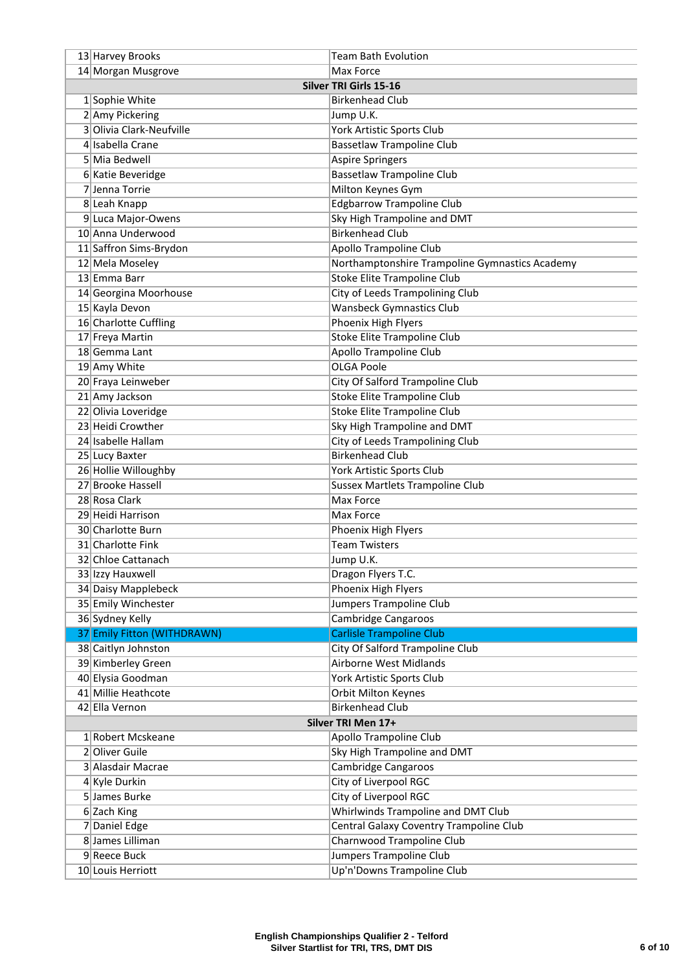| 13 Harvey Brooks            | Team Bath Evolution                            |  |
|-----------------------------|------------------------------------------------|--|
| 14 Morgan Musgrove          | Max Force                                      |  |
|                             | <b>Silver TRI Girls 15-16</b>                  |  |
| 1 Sophie White              | <b>Birkenhead Club</b>                         |  |
| 2 Amy Pickering             | Jump U.K.                                      |  |
| 3 Olivia Clark-Neufville    | York Artistic Sports Club                      |  |
| 4 Isabella Crane            | <b>Bassetlaw Trampoline Club</b>               |  |
| 5 Mia Bedwell               | <b>Aspire Springers</b>                        |  |
| 6 Katie Beveridge           | <b>Bassetlaw Trampoline Club</b>               |  |
| 7 Jenna Torrie              | Milton Keynes Gym                              |  |
| 8 Leah Knapp                | <b>Edgbarrow Trampoline Club</b>               |  |
| 9 Luca Major-Owens          | Sky High Trampoline and DMT                    |  |
| 10 Anna Underwood           | <b>Birkenhead Club</b>                         |  |
| 11 Saffron Sims-Brydon      | <b>Apollo Trampoline Club</b>                  |  |
| 12 Mela Moseley             | Northamptonshire Trampoline Gymnastics Academy |  |
| 13 Emma Barr                | <b>Stoke Elite Trampoline Club</b>             |  |
| 14 Georgina Moorhouse       | City of Leeds Trampolining Club                |  |
| 15 Kayla Devon              | <b>Wansbeck Gymnastics Club</b>                |  |
| 16 Charlotte Cuffling       | Phoenix High Flyers                            |  |
| 17 Freya Martin             | <b>Stoke Elite Trampoline Club</b>             |  |
| 18 Gemma Lant               | <b>Apollo Trampoline Club</b>                  |  |
| 19 Amy White                | <b>OLGA Poole</b>                              |  |
| 20 Fraya Leinweber          | City Of Salford Trampoline Club                |  |
| 21 Amy Jackson              | <b>Stoke Elite Trampoline Club</b>             |  |
| 22 Olivia Loveridge         | <b>Stoke Elite Trampoline Club</b>             |  |
| 23 Heidi Crowther           | Sky High Trampoline and DMT                    |  |
| 24 Isabelle Hallam          | City of Leeds Trampolining Club                |  |
| 25 Lucy Baxter              | <b>Birkenhead Club</b>                         |  |
| 26 Hollie Willoughby        | York Artistic Sports Club                      |  |
| 27 Brooke Hassell           | <b>Sussex Martlets Trampoline Club</b>         |  |
| 28 Rosa Clark               | Max Force                                      |  |
| 29 Heidi Harrison           | Max Force                                      |  |
| 30 Charlotte Burn           | Phoenix High Flyers                            |  |
| 31 Charlotte Fink           | <b>Team Twisters</b>                           |  |
| 32 Chloe Cattanach          | Jump U.K.                                      |  |
| 33 Izzy Hauxwell            | Dragon Flyers T.C.                             |  |
| 34 Daisy Mapplebeck         | Phoenix High Flyers                            |  |
| 35 Emily Winchester         | Jumpers Trampoline Club                        |  |
| 36 Sydney Kelly             | <b>Cambridge Cangaroos</b>                     |  |
| 37 Emily Fitton (WITHDRAWN) | <b>Carlisle Trampoline Club</b>                |  |
| 38 Caitlyn Johnston         | City Of Salford Trampoline Club                |  |
| 39 Kimberley Green          | <b>Airborne West Midlands</b>                  |  |
| 40 Elysia Goodman           | York Artistic Sports Club                      |  |
| 41 Millie Heathcote         | Orbit Milton Keynes                            |  |
| 42 Ella Vernon              | <b>Birkenhead Club</b>                         |  |
| Silver TRI Men 17+          |                                                |  |
| 1 Robert Mcskeane           | Apollo Trampoline Club                         |  |
| 2 Oliver Guile              | Sky High Trampoline and DMT                    |  |
| 3 Alasdair Macrae           | Cambridge Cangaroos                            |  |
| 4 Kyle Durkin               | City of Liverpool RGC                          |  |
| 5 James Burke               | City of Liverpool RGC                          |  |
| 6 Zach King                 | <b>Whirlwinds Trampoline and DMT Club</b>      |  |
| 7 Daniel Edge               | Central Galaxy Coventry Trampoline Club        |  |
| 8 James Lilliman            | Charnwood Trampoline Club                      |  |
| 9Reece Buck                 | Jumpers Trampoline Club                        |  |
| 10 Louis Herriott           | Up'n'Downs Trampoline Club                     |  |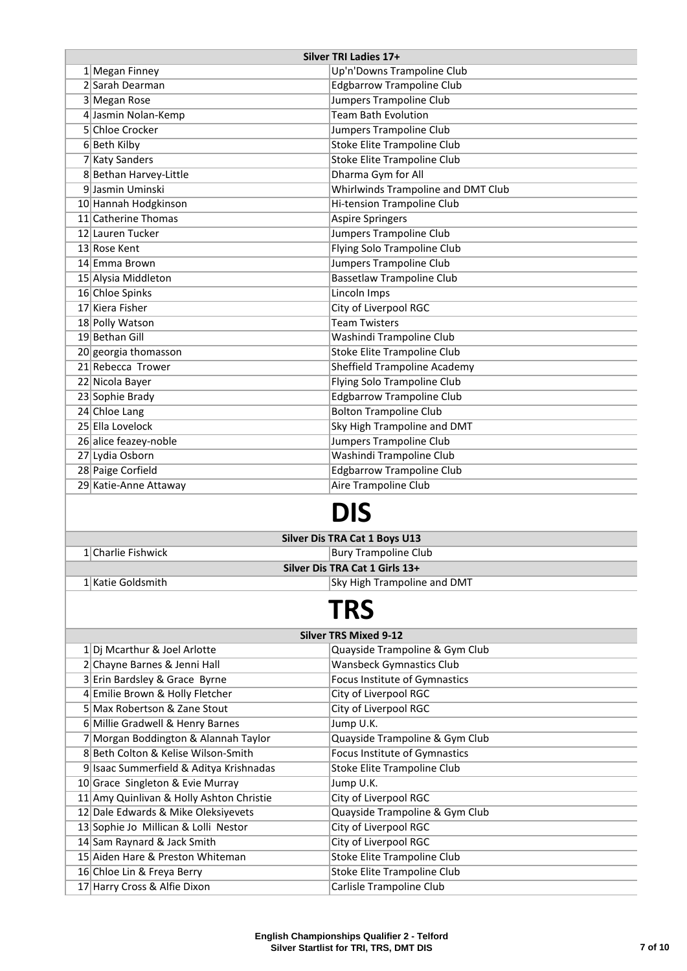|                              | Silver TRI Ladies 17+                    |                                      |  |  |
|------------------------------|------------------------------------------|--------------------------------------|--|--|
|                              | 1 Megan Finney                           | Up'n'Downs Trampoline Club           |  |  |
|                              | 2 Sarah Dearman                          | <b>Edgbarrow Trampoline Club</b>     |  |  |
|                              | 3 Megan Rose                             | Jumpers Trampoline Club              |  |  |
|                              | 4 Jasmin Nolan-Kemp                      | <b>Team Bath Evolution</b>           |  |  |
|                              | 5 Chloe Crocker                          | Jumpers Trampoline Club              |  |  |
|                              | 6Beth Kilby                              | Stoke Elite Trampoline Club          |  |  |
|                              | 7 Katy Sanders                           | <b>Stoke Elite Trampoline Club</b>   |  |  |
|                              | 8 Bethan Harvey-Little                   | Dharma Gym for All                   |  |  |
|                              | 9 Jasmin Uminski                         | Whirlwinds Trampoline and DMT Club   |  |  |
|                              | 10 Hannah Hodgkinson                     | Hi-tension Trampoline Club           |  |  |
|                              | 11 Catherine Thomas                      | <b>Aspire Springers</b>              |  |  |
|                              | 12 Lauren Tucker                         | Jumpers Trampoline Club              |  |  |
|                              | 13 Rose Kent                             | Flying Solo Trampoline Club          |  |  |
|                              | 14 Emma Brown                            | Jumpers Trampoline Club              |  |  |
|                              | 15 Alysia Middleton                      | <b>Bassetlaw Trampoline Club</b>     |  |  |
|                              | 16 Chloe Spinks                          | Lincoln Imps                         |  |  |
|                              | 17 Kiera Fisher                          | City of Liverpool RGC                |  |  |
|                              | 18 Polly Watson                          | <b>Team Twisters</b>                 |  |  |
|                              | 19 Bethan Gill                           | Washindi Trampoline Club             |  |  |
|                              | 20 georgia thomasson                     | Stoke Elite Trampoline Club          |  |  |
|                              | 21 Rebecca Trower                        | <b>Sheffield Trampoline Academy</b>  |  |  |
|                              | 22 Nicola Bayer                          | Flying Solo Trampoline Club          |  |  |
|                              | 23 Sophie Brady                          | <b>Edgbarrow Trampoline Club</b>     |  |  |
|                              | 24 Chloe Lang                            | <b>Bolton Trampoline Club</b>        |  |  |
|                              | 25 Ella Lovelock                         | Sky High Trampoline and DMT          |  |  |
|                              | 26 alice feazey-noble                    | Jumpers Trampoline Club              |  |  |
|                              | 27 Lydia Osborn                          | Washindi Trampoline Club             |  |  |
|                              | 28 Paige Corfield                        | <b>Edgbarrow Trampoline Club</b>     |  |  |
|                              | 29 Katie-Anne Attaway                    | Aire Trampoline Club                 |  |  |
|                              |                                          |                                      |  |  |
|                              |                                          | DIS                                  |  |  |
|                              |                                          |                                      |  |  |
|                              |                                          | <b>Silver Dis TRA Cat 1 Boys U13</b> |  |  |
|                              | 1 Charlie Fishwick                       | <b>Bury Trampoline Club</b>          |  |  |
|                              |                                          | Silver Dis TRA Cat 1 Girls 13+       |  |  |
|                              | 1 Katie Goldsmith                        | Sky High Trampoline and DMT          |  |  |
|                              |                                          |                                      |  |  |
|                              |                                          | <b>TRS</b>                           |  |  |
| <b>Silver TRS Mixed 9-12</b> |                                          |                                      |  |  |
|                              | 1 Dj Mcarthur & Joel Arlotte             | Quayside Trampoline & Gym Club       |  |  |
|                              | 2 Chayne Barnes & Jenni Hall             | <b>Wansbeck Gymnastics Club</b>      |  |  |
|                              | 3 Erin Bardsley & Grace Byrne            | Focus Institute of Gymnastics        |  |  |
|                              | 4 Emilie Brown & Holly Fletcher          | City of Liverpool RGC                |  |  |
|                              | 5 Max Robertson & Zane Stout             | City of Liverpool RGC                |  |  |
|                              | 6 Millie Gradwell & Henry Barnes         | Jump U.K.                            |  |  |
|                              | 7 Morgan Boddington & Alannah Taylor     | Quayside Trampoline & Gym Club       |  |  |
|                              | 8 Beth Colton & Kelise Wilson-Smith      | Focus Institute of Gymnastics        |  |  |
|                              | 9 Isaac Summerfield & Aditya Krishnadas  | Stoke Elite Trampoline Club          |  |  |
|                              | 10 Grace Singleton & Evie Murray         | Jump U.K.                            |  |  |
|                              | 11 Amy Quinlivan & Holly Ashton Christie | City of Liverpool RGC                |  |  |
|                              | 12 Dale Edwards & Mike Oleksiyevets      | Quayside Trampoline & Gym Club       |  |  |
|                              | 13 Sophie Jo Millican & Lolli Nestor     | City of Liverpool RGC                |  |  |
|                              | 14 Sam Raynard & Jack Smith              | City of Liverpool RGC                |  |  |
|                              | 15 Aiden Hare & Preston Whiteman         | <b>Stoke Elite Trampoline Club</b>   |  |  |
|                              |                                          |                                      |  |  |

16 Chloe Lin & Freya Berry Stoke Elite Trampoline Club<br>17 Harry Cross & Alfie Dixon Carlisle Trampoline Club

17 Harry Cross & Alfie Dixon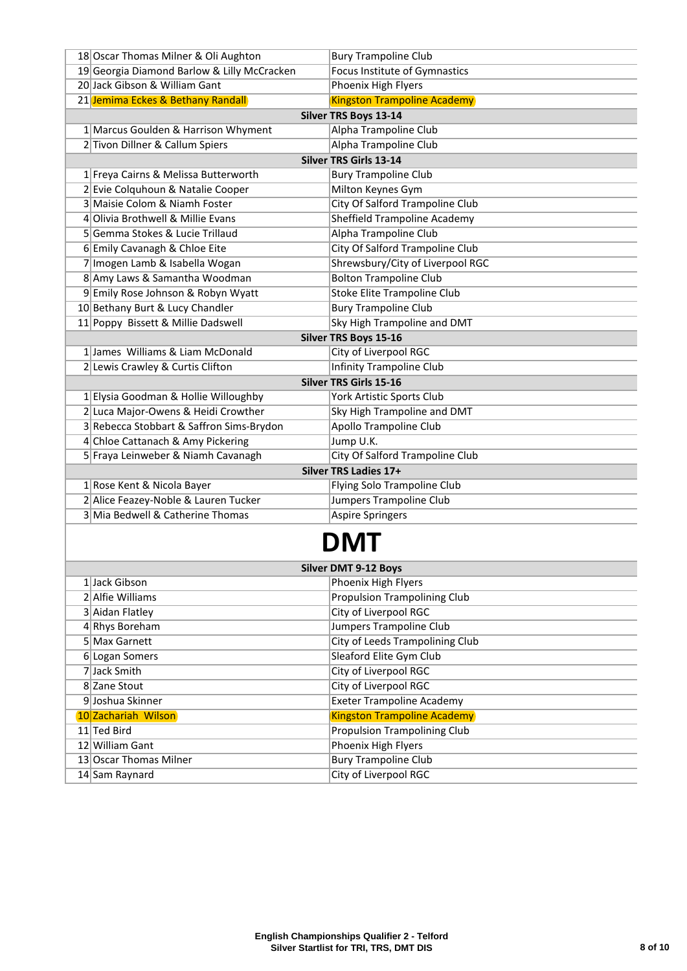| 18 Oscar Thomas Milner & Oli Aughton        | <b>Bury Trampoline Club</b>         |  |
|---------------------------------------------|-------------------------------------|--|
| 19 Georgia Diamond Barlow & Lilly McCracken | Focus Institute of Gymnastics       |  |
| 20 Jack Gibson & William Gant               | Phoenix High Flyers                 |  |
| 21 Jemima Eckes & Bethany Randall           | <b>Kingston Trampoline Academy</b>  |  |
|                                             | <b>Silver TRS Boys 13-14</b>        |  |
| 1 Marcus Goulden & Harrison Whyment         | Alpha Trampoline Club               |  |
| 2 Tivon Dillner & Callum Spiers             | Alpha Trampoline Club               |  |
|                                             | <b>Silver TRS Girls 13-14</b>       |  |
| 1 Freya Cairns & Melissa Butterworth        | <b>Bury Trampoline Club</b>         |  |
| 2 Evie Colquhoun & Natalie Cooper           | Milton Keynes Gym                   |  |
| 3 Maisie Colom & Niamh Foster               | City Of Salford Trampoline Club     |  |
| 4 Olivia Brothwell & Millie Evans           | <b>Sheffield Trampoline Academy</b> |  |
| 5 Gemma Stokes & Lucie Trillaud             | Alpha Trampoline Club               |  |
| 6 Emily Cavanagh & Chloe Eite               | City Of Salford Trampoline Club     |  |
| 7 Imogen Lamb & Isabella Wogan              | Shrewsbury/City of Liverpool RGC    |  |
| 8 Amy Laws & Samantha Woodman               | <b>Bolton Trampoline Club</b>       |  |
| 9 Emily Rose Johnson & Robyn Wyatt          | <b>Stoke Elite Trampoline Club</b>  |  |
| 10 Bethany Burt & Lucy Chandler             | <b>Bury Trampoline Club</b>         |  |
| 11 Poppy Bissett & Millie Dadswell          | Sky High Trampoline and DMT         |  |
|                                             | <b>Silver TRS Boys 15-16</b>        |  |
| 1 James Williams & Liam McDonald            | City of Liverpool RGC               |  |
| 2 Lewis Crawley & Curtis Clifton            | <b>Infinity Trampoline Club</b>     |  |
|                                             | <b>Silver TRS Girls 15-16</b>       |  |
| 1 Elysia Goodman & Hollie Willoughby        | York Artistic Sports Club           |  |
| 2 Luca Major-Owens & Heidi Crowther         | Sky High Trampoline and DMT         |  |
| 3 Rebecca Stobbart & Saffron Sims-Brydon    | <b>Apollo Trampoline Club</b>       |  |
| 4 Chloe Cattanach & Amy Pickering           | Jump U.K.                           |  |
| 5 Fraya Leinweber & Niamh Cavanagh          | City Of Salford Trampoline Club     |  |
| Silver TRS Ladies 17+                       |                                     |  |
| 1 Rose Kent & Nicola Bayer                  | Flying Solo Trampoline Club         |  |
| 2 Alice Feazey-Noble & Lauren Tucker        | Jumpers Trampoline Club             |  |
| 3 Mia Bedwell & Catherine Thomas            | Aspire Springers                    |  |
|                                             |                                     |  |

## **DMT**

| <b>Silver DMT 9-12 Boys</b> |                        |                                     |
|-----------------------------|------------------------|-------------------------------------|
|                             | 1 Jack Gibson          | Phoenix High Flyers                 |
|                             | 2 Alfie Williams       | <b>Propulsion Trampolining Club</b> |
|                             | 3 Aidan Flatley        | City of Liverpool RGC               |
|                             | 4 Rhys Boreham         | Jumpers Trampoline Club             |
|                             | 5 Max Garnett          | City of Leeds Trampolining Club     |
|                             | 6 Logan Somers         | Sleaford Elite Gym Club             |
|                             | 7 Jack Smith           | City of Liverpool RGC               |
|                             | 8 Zane Stout           | City of Liverpool RGC               |
|                             | 9 Joshua Skinner       | <b>Exeter Trampoline Academy</b>    |
|                             | 10 Zachariah Wilson    | <b>Kingston Trampoline Academy</b>  |
|                             | 11 Ted Bird            | <b>Propulsion Trampolining Club</b> |
|                             | 12 William Gant        | Phoenix High Flyers                 |
|                             | 13 Oscar Thomas Milner | <b>Bury Trampoline Club</b>         |
|                             | 14 Sam Raynard         | City of Liverpool RGC               |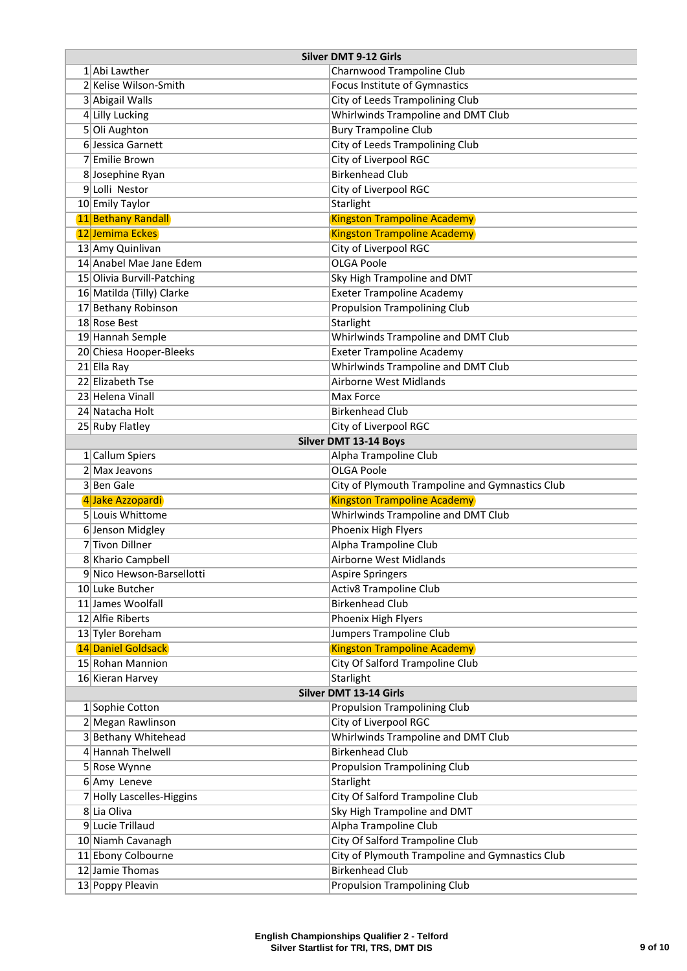| <b>Silver DMT 9-12 Girls</b> |                                              |                                                 |
|------------------------------|----------------------------------------------|-------------------------------------------------|
|                              | 1 Abi Lawther                                | Charnwood Trampoline Club                       |
|                              | 2 Kelise Wilson-Smith                        | Focus Institute of Gymnastics                   |
|                              | 3 Abigail Walls                              | City of Leeds Trampolining Club                 |
|                              | 4 Lilly Lucking                              | Whirlwinds Trampoline and DMT Club              |
|                              | 5 Oli Aughton                                | <b>Bury Trampoline Club</b>                     |
|                              | 6 Jessica Garnett                            | City of Leeds Trampolining Club                 |
|                              | 7 Emilie Brown                               | City of Liverpool RGC                           |
|                              | 8 Josephine Ryan                             | <b>Birkenhead Club</b>                          |
|                              | 9 Lolli Nestor                               | City of Liverpool RGC                           |
|                              | 10 Emily Taylor                              | Starlight                                       |
|                              | 11 Bethany Randall                           | <b>Kingston Trampoline Academy</b>              |
|                              | 12 Jemima Eckes                              | <b>Kingston Trampoline Academy</b>              |
|                              | 13 Amy Quinlivan                             | City of Liverpool RGC                           |
|                              | 14 Anabel Mae Jane Edem                      | <b>OLGA Poole</b>                               |
|                              | 15 Olivia Burvill-Patching                   | Sky High Trampoline and DMT                     |
|                              | 16 Matilda (Tilly) Clarke                    | <b>Exeter Trampoline Academy</b>                |
|                              | 17 Bethany Robinson                          | <b>Propulsion Trampolining Club</b>             |
|                              | 18 Rose Best                                 | Starlight                                       |
|                              | 19 Hannah Semple                             | Whirlwinds Trampoline and DMT Club              |
|                              | 20 Chiesa Hooper-Bleeks                      | <b>Exeter Trampoline Academy</b>                |
|                              | 21 Ella Ray                                  | Whirlwinds Trampoline and DMT Club              |
|                              | 22 Elizabeth Tse                             | <b>Airborne West Midlands</b>                   |
|                              | 23 Helena Vinall                             | Max Force                                       |
|                              | 24 Natacha Holt                              | <b>Birkenhead Club</b>                          |
|                              | 25 Ruby Flatley                              | City of Liverpool RGC                           |
|                              |                                              | <b>Silver DMT 13-14 Boys</b>                    |
|                              | 1 Callum Spiers                              | Alpha Trampoline Club                           |
|                              | 2 Max Jeavons                                | <b>OLGA Poole</b>                               |
|                              | 3 Ben Gale                                   | City of Plymouth Trampoline and Gymnastics Club |
|                              | 4 Jake Azzopardi                             | <b>Kingston Trampoline Academy</b>              |
|                              | 5 Louis Whittome                             | Whirlwinds Trampoline and DMT Club              |
|                              | 6 Jenson Midgley                             | Phoenix High Flyers                             |
|                              | 7 Tivon Dillner                              | Alpha Trampoline Club                           |
|                              | 8 Khario Campbell                            | Airborne West Midlands                          |
|                              | 9 Nico Hewson-Barsellotti<br>10 Luke Butcher | <b>Aspire Springers</b>                         |
|                              |                                              | <b>Activ8 Trampoline Club</b>                   |
|                              | 11 James Woolfall<br>12 Alfie Riberts        | <b>Birkenhead Club</b>                          |
|                              |                                              | Phoenix High Flyers<br>Jumpers Trampoline Club  |
|                              | 13 Tyler Boreham<br>14 Daniel Goldsack       | <b>Kingston Trampoline Academy</b>              |
|                              | 15 Rohan Mannion                             | City Of Salford Trampoline Club                 |
|                              | 16 Kieran Harvey                             | Starlight                                       |
|                              |                                              | Silver DMT 13-14 Girls                          |
|                              | 1 Sophie Cotton                              | <b>Propulsion Trampolining Club</b>             |
|                              | 2 Megan Rawlinson                            | City of Liverpool RGC                           |
|                              | 3 Bethany Whitehead                          | Whirlwinds Trampoline and DMT Club              |
|                              | 4 Hannah Thelwell                            | <b>Birkenhead Club</b>                          |
|                              | 5 Rose Wynne                                 | <b>Propulsion Trampolining Club</b>             |
|                              | 6 Amy Leneve                                 | Starlight                                       |
|                              | 7 Holly Lascelles-Higgins                    | City Of Salford Trampoline Club                 |
|                              | 8 Lia Oliva                                  | Sky High Trampoline and DMT                     |
|                              | 9 Lucie Trillaud                             | Alpha Trampoline Club                           |
|                              | 10 Niamh Cavanagh                            | City Of Salford Trampoline Club                 |
|                              | 11 Ebony Colbourne                           | City of Plymouth Trampoline and Gymnastics Club |
|                              | 12 Jamie Thomas                              | <b>Birkenhead Club</b>                          |
|                              | 13 Poppy Pleavin                             | <b>Propulsion Trampolining Club</b>             |